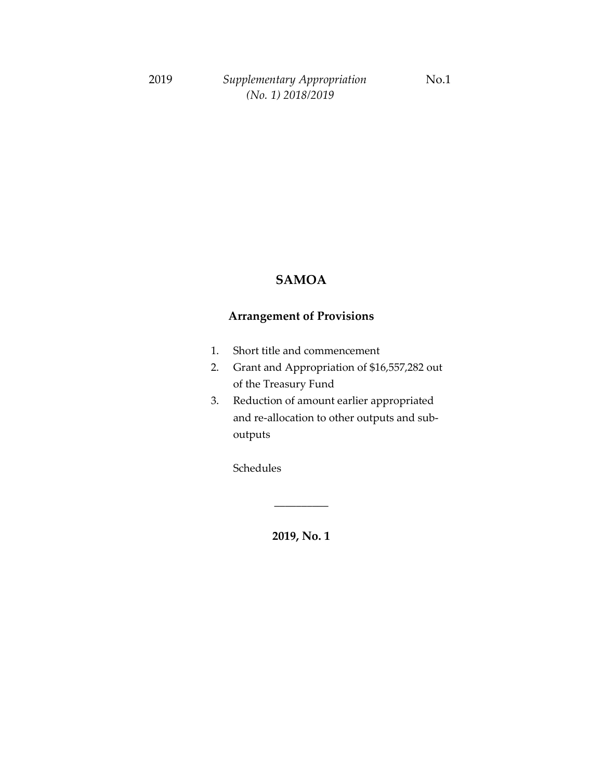#### **SAMOA**

### **Arrangement of Provisions**

- 1. Short title and commencement
- 2. Grant and Appropriation of \$16,557,282 out of the Treasury Fund
- 3. Reduction of amount earlier appropriated and re-allocation to other outputs and suboutputs

Schedules

**2019, No. 1**

\_\_\_\_\_\_\_\_\_\_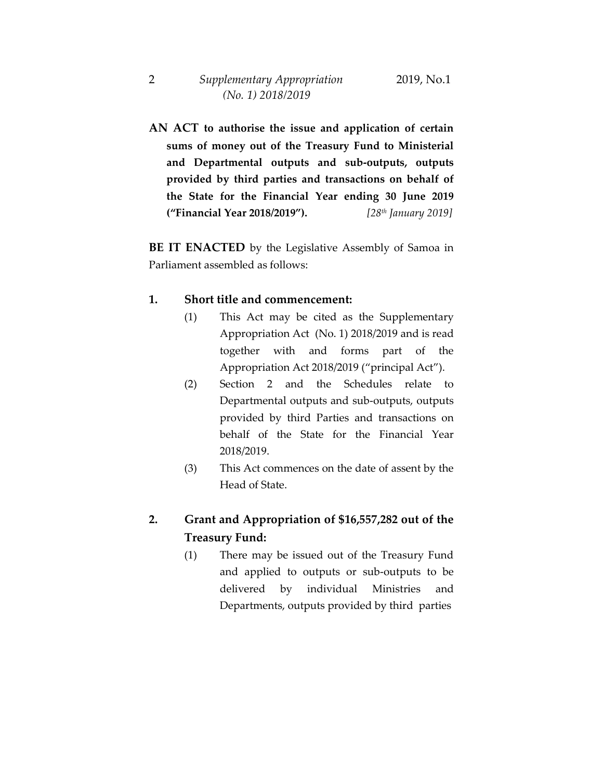**AN ACT to authorise the issue and application of certain sums of money out of the Treasury Fund to Ministerial and Departmental outputs and sub-outputs, outputs provided by third parties and transactions on behalf of the State for the Financial Year ending 30 June 2019 ("Financial Year 2018/2019").** *[28th January 2019]*

**BE IT ENACTED** by the Legislative Assembly of Samoa in Parliament assembled as follows:

#### **1. Short title and commencement:**

- (1) This Act may be cited as the Supplementary Appropriation Act (No. 1) 2018/2019 and is read together with and forms part of the Appropriation Act 2018/2019 ("principal Act").
- (2) Section 2 and the Schedules relate to Departmental outputs and sub-outputs, outputs provided by third Parties and transactions on behalf of the State for the Financial Year 2018/2019.
- (3) This Act commences on the date of assent by the Head of State.

### **2. Grant and Appropriation of \$16,557,282 out of the Treasury Fund:**

(1) There may be issued out of the Treasury Fund and applied to outputs or sub-outputs to be delivered by individual Ministries and Departments, outputs provided by third parties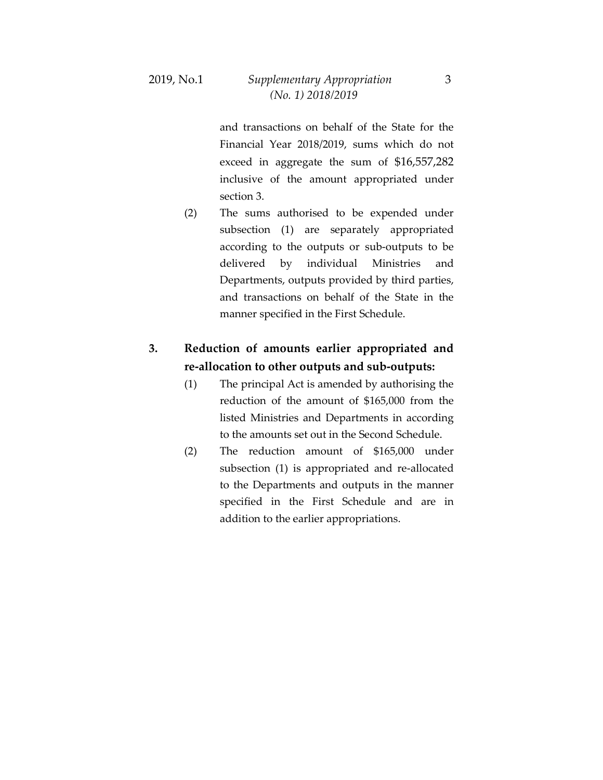and transactions on behalf of the State for the Financial Year 2018/2019, sums which do not exceed in aggregate the sum of \$16,557,282 inclusive of the amount appropriated under section 3.

(2) The sums authorised to be expended under subsection (1) are separately appropriated according to the outputs or sub-outputs to be delivered by individual Ministries and Departments, outputs provided by third parties, and transactions on behalf of the State in the manner specified in the First Schedule.

### **3. Reduction of amounts earlier appropriated and re-allocation to other outputs and sub-outputs:**

- (1) The principal Act is amended by authorising the reduction of the amount of \$165,000 from the listed Ministries and Departments in according to the amounts set out in the Second Schedule.
- (2) The reduction amount of \$165,000 under subsection (1) is appropriated and re-allocated to the Departments and outputs in the manner specified in the First Schedule and are in addition to the earlier appropriations.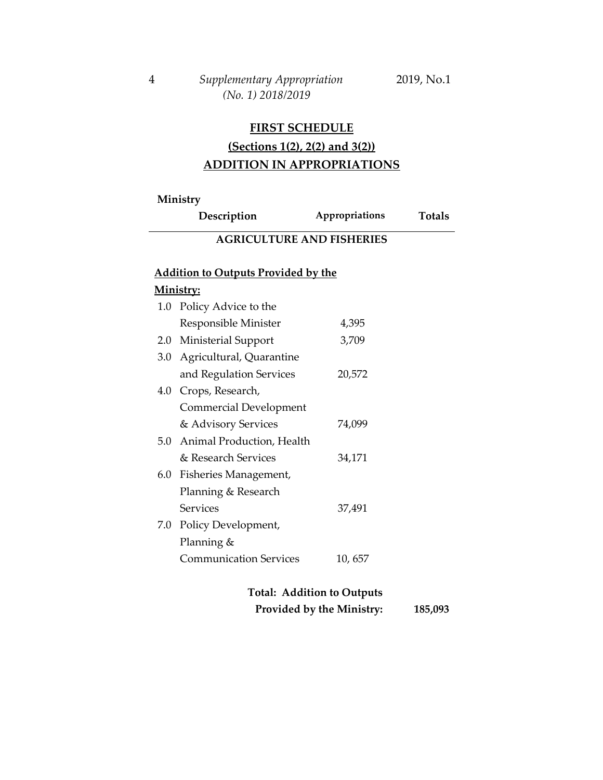*(No. 1) 2018/2019*

## **(Sections 1(2), 2(2) and 3(2)) ADDITION IN APPROPRIATIONS**

#### **Ministry**

**Description Appropriations Totals**

### **AGRICULTURE AND FISHERIES**

### **Addition to Outputs Provided by the**

| $1.0\,$ | Policy Advice to the          |         |
|---------|-------------------------------|---------|
|         | Responsible Minister          | 4,395   |
|         | 2.0 Ministerial Support       | 3,709   |
|         | 3.0 Agricultural, Quarantine  |         |
|         | and Regulation Services       | 20,572  |
|         | 4.0 Crops, Research,          |         |
|         | Commercial Development        |         |
|         | & Advisory Services           | 74,099  |
|         | 5.0 Animal Production, Health |         |
|         | & Research Services           | 34,171  |
|         | 6.0 Fisheries Management,     |         |
|         | Planning & Research           |         |
|         | Services                      | 37,491  |
|         | 7.0 Policy Development,       |         |
|         | Planning &                    |         |
|         | <b>Communication Services</b> | 10, 657 |
|         |                               |         |

| <b>Total: Addition to Outputs</b> |         |
|-----------------------------------|---------|
| Provided by the Ministry:         | 185,093 |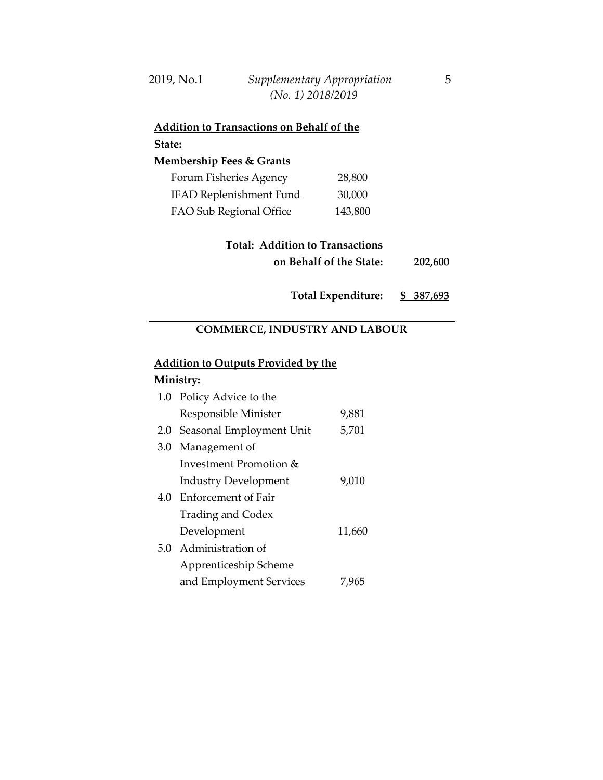| 2019, No.1 | Supplementary Appropriation |  |
|------------|-----------------------------|--|
|            | (No. 1) 2018/2019           |  |

| <u>Addition to Transactions on Behalf of the </u> |         |  |
|---------------------------------------------------|---------|--|
| State:                                            |         |  |
| <b>Membership Fees &amp; Grants</b>               |         |  |
| Forum Fisheries Agency                            | 28,800  |  |
| <b>IFAD Replenishment Fund</b>                    | 30,000  |  |
| FAO Sub Regional Office                           | 143,800 |  |
|                                                   |         |  |

| <b>Total: Addition to Transactions</b> |         |
|----------------------------------------|---------|
| on Behalf of the State:                | 202,600 |

**Total Expenditure: \$ 387,693**

# **COMMERCE, INDUSTRY AND LABOUR**

## **Addition to Outputs Provided by the**

| 1.0 Policy Advice to the     |        |
|------------------------------|--------|
| Responsible Minister         | 9,881  |
| 2.0 Seasonal Employment Unit | 5,701  |
| 3.0 Management of            |        |
| Investment Promotion &       |        |
| <b>Industry Development</b>  | 9,010  |
| 4.0 Enforcement of Fair      |        |
| <b>Trading and Codex</b>     |        |
| Development                  | 11,660 |
| 5.0 Administration of        |        |
| Apprenticeship Scheme        |        |
| and Employment Services      | 7,965  |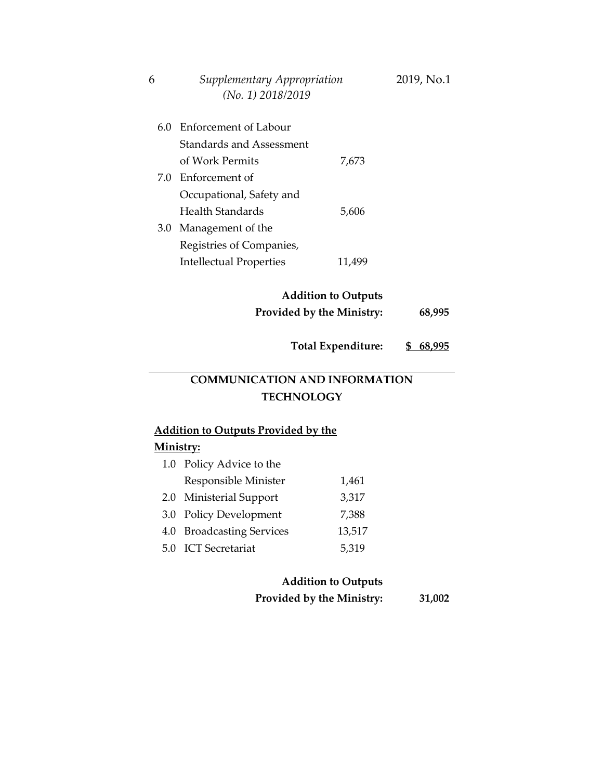| 6 | Supplementary Appropriation | 2019, No.1 |
|---|-----------------------------|------------|
|   | $(No. 1)$ 2018/2019         |            |

| 60  | <b>Enforcement of Labour</b>    |       |
|-----|---------------------------------|-------|
|     | <b>Standards and Assessment</b> |       |
|     | of Work Permits                 | 7,673 |
| 7.0 | – Enforcement of                |       |
|     | Occupational, Safety and        |       |
|     | Health Standards                | 5,606 |
| 3.0 | Management of the               |       |
|     | Registries of Companies,        |       |
|     | <b>Intellectual Properties</b>  | 11.4  |

## **Addition to Outputs Provided by the Ministry: 68,995**

**Total Expenditure: \$ 68,995**

## **COMMUNICATION AND INFORMATION TECHNOLOGY**

### **Addition to Outputs Provided by the Ministry:**

| 1.0 Policy Advice to the  |        |
|---------------------------|--------|
| Responsible Minister      | 1,461  |
| 2.0 Ministerial Support   | 3,317  |
| 3.0 Policy Development    | 7,388  |
| 4.0 Broadcasting Services | 13,517 |
| 5.0 ICT Secretariat       | 5,319  |

### **Addition to Outputs Provided by the Ministry: 31,002**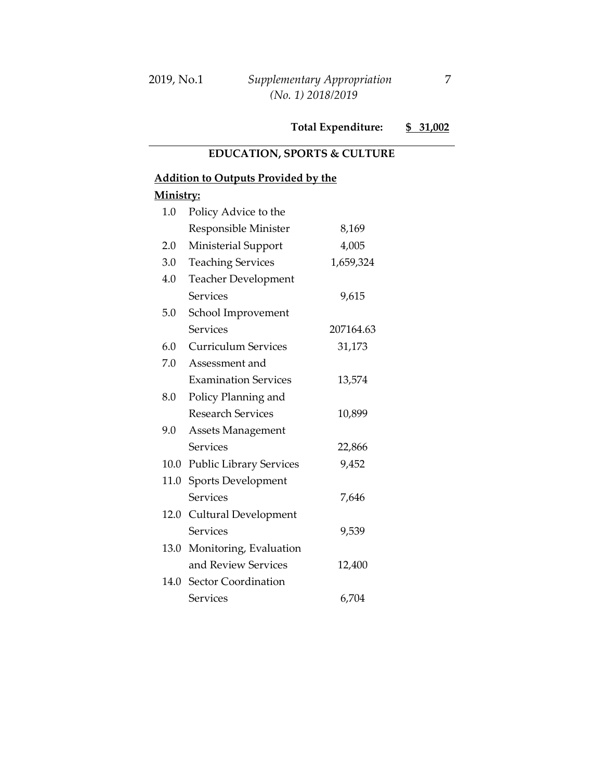#### **EDUCATION, SPORTS & CULTURE**

### **Addition to Outputs Provided by the**

| 1.0  | Policy Advice to the           |           |
|------|--------------------------------|-----------|
|      | Responsible Minister           | 8,169     |
| 2.0  | Ministerial Support            | 4,005     |
| 3.0  | <b>Teaching Services</b>       | 1,659,324 |
| 4.0  | <b>Teacher Development</b>     |           |
|      | Services                       | 9,615     |
| 5.0  | School Improvement             |           |
|      | <b>Services</b>                | 207164.63 |
| 6.0  | <b>Curriculum Services</b>     | 31,173    |
| 7.0  | Assessment and                 |           |
|      | <b>Examination Services</b>    | 13,574    |
| 8.0  | Policy Planning and            |           |
|      | <b>Research Services</b>       | 10,899    |
| 9.0  | <b>Assets Management</b>       |           |
|      | <b>Services</b>                | 22,866    |
| 10.0 | <b>Public Library Services</b> | 9,452     |
| 11.0 | <b>Sports Development</b>      |           |
|      | <b>Services</b>                | 7,646     |
|      | 12.0 Cultural Development      |           |
|      | <b>Services</b>                | 9,539     |
| 13.0 | Monitoring, Evaluation         |           |
|      | and Review Services            | 12,400    |
| 14.0 | Sector Coordination            |           |
|      | <b>Services</b>                | 6,704     |
|      |                                |           |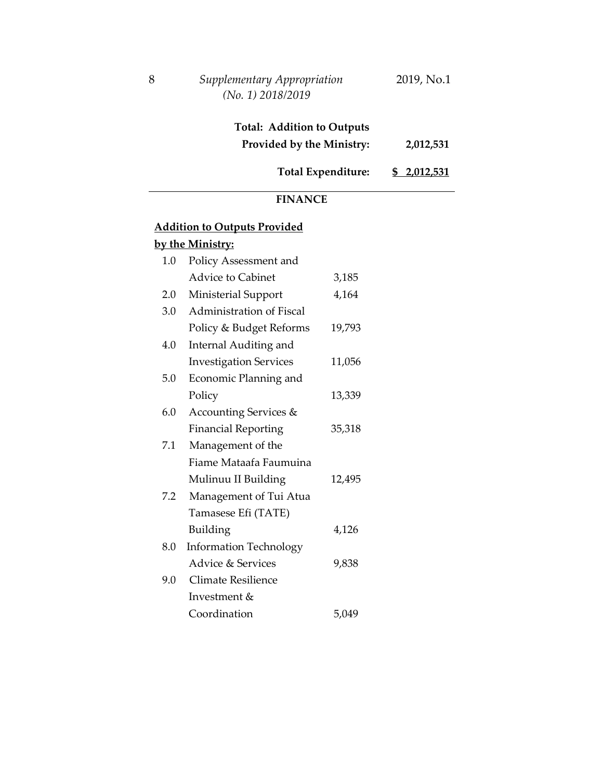| 8 | Supplementary Appropriation | 2019, No.1 |
|---|-----------------------------|------------|
|   | $(No. 1)$ 2018/2019         |            |

| <b>Total: Addition to Outputs</b> |             |
|-----------------------------------|-------------|
| Provided by the Ministry:         | 2,012,531   |
| <b>Total Expenditure:</b>         | \$2,012,531 |

#### **FINANCE**

### **Addition to Outputs Provided by the Ministry:**

|     | <u>, and immediate</u>        |        |
|-----|-------------------------------|--------|
| 1.0 | Policy Assessment and         |        |
|     | <b>Advice to Cabinet</b>      | 3,185  |
| 2.0 | Ministerial Support           | 4,164  |
| 3.0 | Administration of Fiscal      |        |
|     | Policy & Budget Reforms       | 19,793 |
| 4.0 | <b>Internal Auditing and</b>  |        |
|     | <b>Investigation Services</b> | 11,056 |
| 5.0 | Economic Planning and         |        |
|     | Policy                        | 13,339 |
| 6.0 | Accounting Services &         |        |
|     | <b>Financial Reporting</b>    | 35,318 |
| 7.1 | Management of the             |        |
|     | Fiame Mataafa Faumuina        |        |
|     | Mulinuu II Building           | 12,495 |
| 7.2 | Management of Tui Atua        |        |
|     | Tamasese Efi (TATE)           |        |
|     | Building                      | 4,126  |
| 8.0 | <b>Information Technology</b> |        |
|     | Advice & Services             | 9,838  |
| 9.0 | <b>Climate Resilience</b>     |        |
|     | Investment &                  |        |
|     | Coordination                  | 5,049  |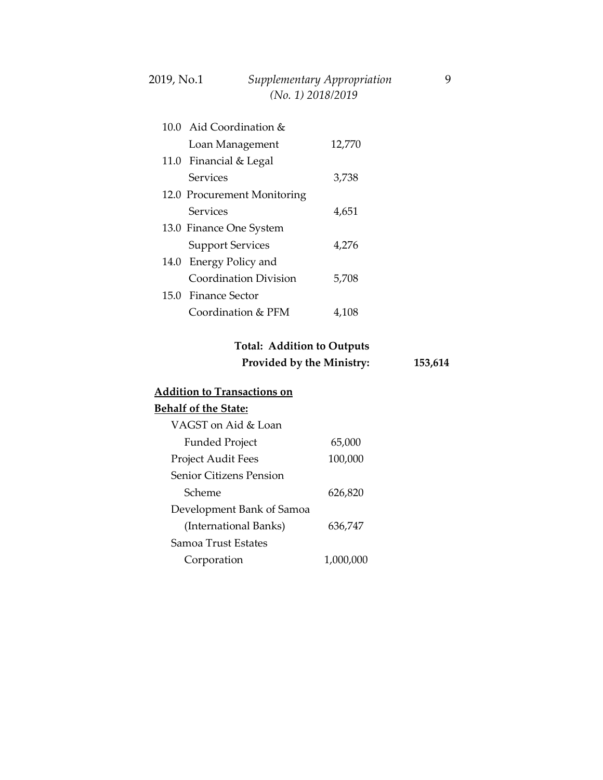| 2019, No.1 | Supplementary Appropriation |  |
|------------|-----------------------------|--|
|            | $(No. 1)$ 2018/2019         |  |

| 10.0 Aid Coordination &     |        |
|-----------------------------|--------|
| Loan Management             | 12,770 |
| 11.0 Financial & Legal      |        |
| Services                    | 3,738  |
| 12.0 Procurement Monitoring |        |
| Services                    | 4,651  |
| 13.0 Finance One System     |        |
| <b>Support Services</b>     | 4,276  |
| 14.0 Energy Policy and      |        |
| Coordination Division       | 5,708  |
| 15.0 Finance Sector         |        |
| Coordination & PFM          | 4.108  |

### **Total: Addition to Outputs Provided by the Ministry: 153,614**

#### **Addition to Transactions on Behalf of the State:** VAGST on Aid & Loan Funded Project Project Audit Fees Senior Citizens Pension Scheme Development Bank of Samoa (International Banks) Samoa Trust Estates Corporation 65,000 100,000 626,820 636,747 1,000,000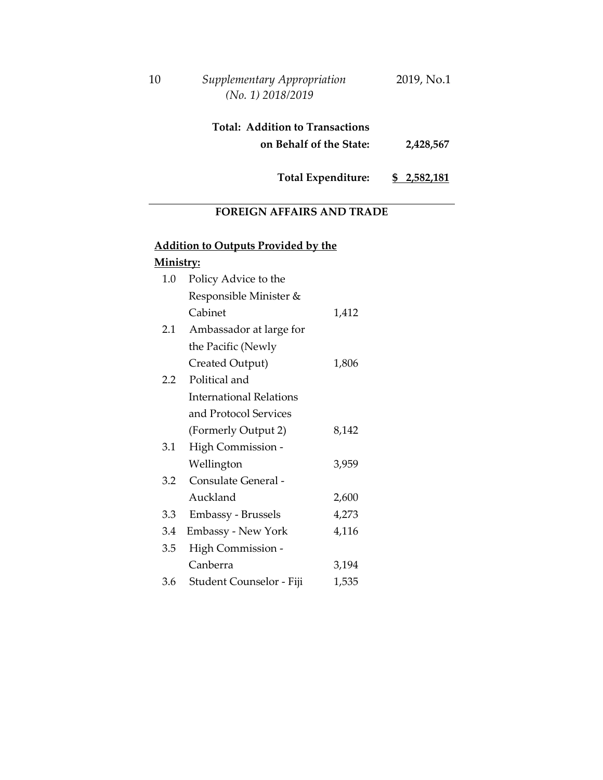| $10\,$ | Supplementary Appropriation | 2019, No.1 |
|--------|-----------------------------|------------|
|        | $(No. 1)$ 2018/2019         |            |

| <b>Total: Addition to Transactions</b> |           |
|----------------------------------------|-----------|
| on Behalf of the State:                | 2,428,567 |

**Total Expenditure: \$ 2,582,181**

## **FOREIGN AFFAIRS AND TRADE**

# **Addition to Outputs Provided by the**

| 1.0 | Policy Advice to the           |       |
|-----|--------------------------------|-------|
|     | Responsible Minister &         |       |
|     | Cabinet                        | 1,412 |
| 2.1 | Ambassador at large for        |       |
|     | the Pacific (Newly             |       |
|     | Created Output)                | 1,806 |
| 2.2 | Political and                  |       |
|     | <b>International Relations</b> |       |
|     | and Protocol Services          |       |
|     | (Formerly Output 2)            | 8,142 |
| 3.1 | High Commission -              |       |
|     | Wellington                     | 3,959 |
| 3.2 | Consulate General -            |       |
|     | Auckland                       | 2,600 |
| 3.3 | Embassy - Brussels             | 4,273 |
| 3.4 | <b>Embassy - New York</b>      | 4,116 |
| 3.5 | High Commission -              |       |
|     | Canberra                       | 3,194 |
| 3.6 | Student Counselor - Fiji       | 1,535 |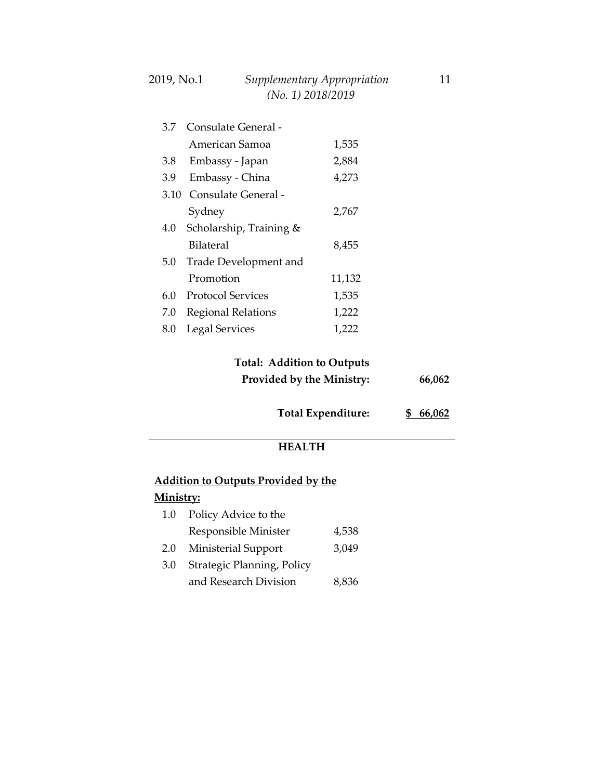| 3.7  | Consulate General -      |        |
|------|--------------------------|--------|
|      | American Samoa           | 1,535  |
| 3.8  | Embassy - Japan          | 2,884  |
| 3.9  | Embassy - China          | 4,273  |
| 3.10 | Consulate General -      |        |
|      | Sydney                   | 2,767  |
| 4.0  | Scholarship, Training &  |        |
|      | Bilateral                | 8,455  |
| 5.0  | Trade Development and    |        |
|      | Promotion                | 11,132 |
| 6.0  | <b>Protocol Services</b> | 1,535  |
| 7.0  | Regional Relations       | 1,222  |
| 8.0  | <b>Legal Services</b>    | 1,222  |

### **Total: Addition to Outputs Provided by the Ministry: 66,062**

**Total Expenditure: \$ 66,062**

#### **HEALTH**

### **Addition to Outputs Provided by the**

| $1.0\,$ | Policy Advice to the       |       |
|---------|----------------------------|-------|
|         | Responsible Minister       | 4,538 |
| 2.0     | Ministerial Support        | 3,049 |
| 3.0     | Strategic Planning, Policy |       |
|         | and Research Division      | 8,836 |
|         |                            |       |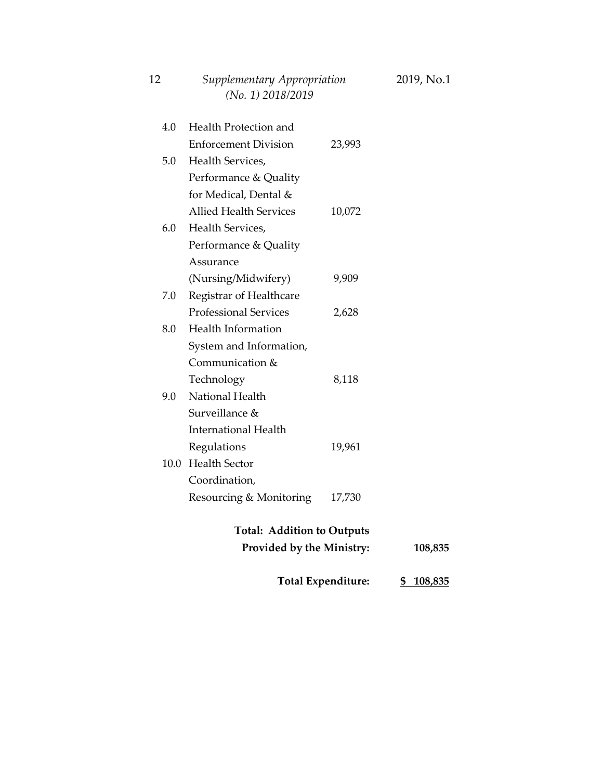|     | (No. 1) 2018/2019                 |                           |           |
|-----|-----------------------------------|---------------------------|-----------|
| 4.0 | Health Protection and             |                           |           |
|     | <b>Enforcement Division</b>       | 23,993                    |           |
| 5.0 | Health Services,                  |                           |           |
|     | Performance & Quality             |                           |           |
|     | for Medical, Dental &             |                           |           |
|     | <b>Allied Health Services</b>     | 10,072                    |           |
| 6.0 | Health Services,                  |                           |           |
|     | Performance & Quality             |                           |           |
|     | Assurance                         |                           |           |
|     | (Nursing/Midwifery)               | 9,909                     |           |
| 7.0 | Registrar of Healthcare           |                           |           |
|     | <b>Professional Services</b>      | 2,628                     |           |
| 8.0 | <b>Health Information</b>         |                           |           |
|     | System and Information,           |                           |           |
|     | Communication &                   |                           |           |
|     | Technology                        | 8,118                     |           |
| 9.0 | National Health                   |                           |           |
|     | Surveillance &                    |                           |           |
|     | <b>International Health</b>       |                           |           |
|     | Regulations                       | 19,961                    |           |
|     | 10.0 Health Sector                |                           |           |
|     | Coordination,                     |                           |           |
|     | Resourcing & Monitoring           | 17,730                    |           |
|     | <b>Total: Addition to Outputs</b> |                           |           |
|     | <b>Provided by the Ministry:</b>  |                           | 108,835   |
|     |                                   | <b>Total Expenditure:</b> | \$108,835 |

| 12 | Supplementary Appropriation | 2019, No.1 |
|----|-----------------------------|------------|
|    | $(No. 1)$ 2018/2019         |            |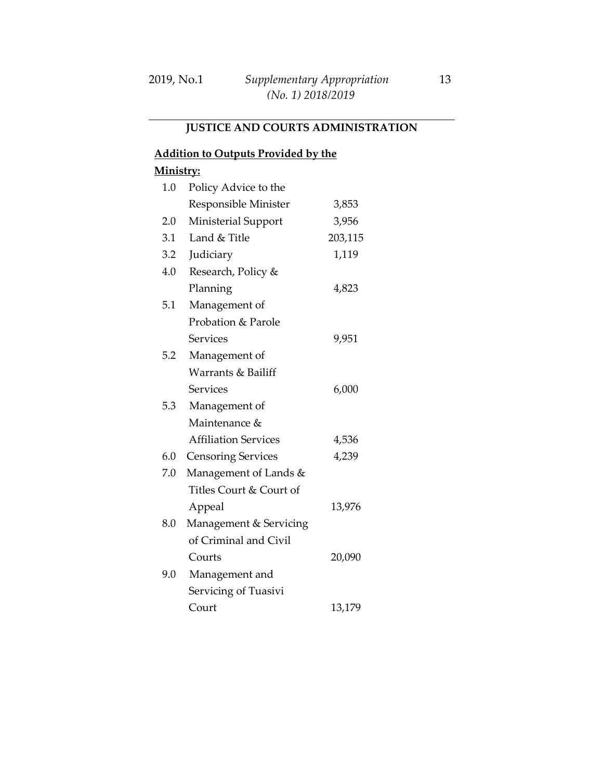# **JUSTICE AND COURTS ADMINISTRATION**

### **Addition to Outputs Provided by the**

| 1.0 | Policy Advice to the        |         |
|-----|-----------------------------|---------|
|     | Responsible Minister        | 3,853   |
| 2.0 | Ministerial Support         | 3,956   |
| 3.1 | Land & Title                | 203,115 |
| 3.2 | Judiciary                   | 1,119   |
| 4.0 | Research, Policy &          |         |
|     | Planning                    | 4,823   |
| 5.1 | Management of               |         |
|     | Probation & Parole          |         |
|     | <b>Services</b>             | 9,951   |
| 5.2 | Management of               |         |
|     | Warrants & Bailiff          |         |
|     | <b>Services</b>             | 6,000   |
| 5.3 | Management of               |         |
|     | Maintenance &               |         |
|     | <b>Affiliation Services</b> | 4,536   |
| 6.0 | <b>Censoring Services</b>   | 4,239   |
| 7.0 | Management of Lands &       |         |
|     | Titles Court & Court of     |         |
|     | Appeal                      | 13,976  |
| 8.0 | Management & Servicing      |         |
|     | of Criminal and Civil       |         |
|     | Courts                      | 20,090  |
| 9.0 | Management and              |         |
|     | Servicing of Tuasivi        |         |
|     | Court                       | 13,179  |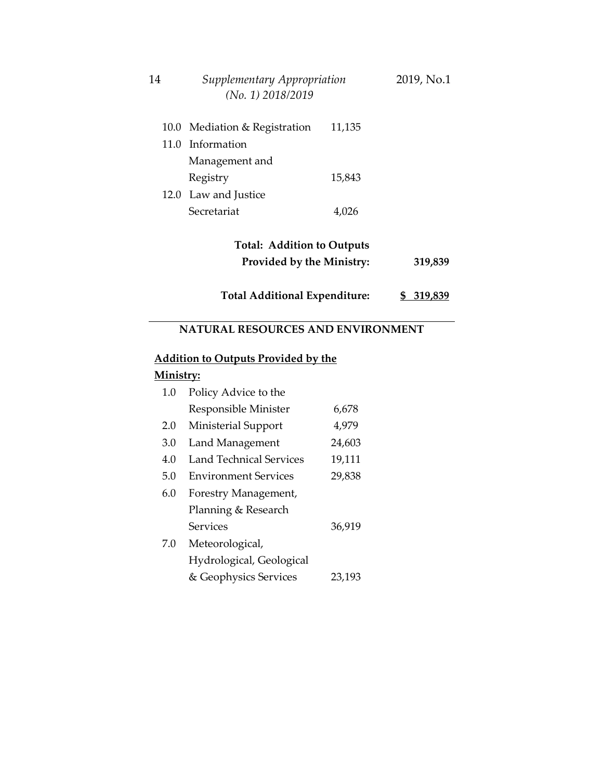| 14 | Supplementary Appropriation<br>$(No. 1)$ 2018/2019 |        | 2019, No.1 |
|----|----------------------------------------------------|--------|------------|
|    | 10.0 Mediation & Registration                      | 11,135 |            |
|    | 11.0 Information                                   |        |            |
|    | Management and                                     |        |            |
|    | Registry                                           | 15,843 |            |
|    | 12.0 Law and Justice                               |        |            |
|    | Secretariat                                        | 4,026  |            |
|    |                                                    |        |            |

# **Total: Addition to Outputs Provided by the Ministry: 319,839**

**Total Additional Expenditure: \$ 319,839**

### **NATURAL RESOURCES AND ENVIRONMENT**

#### **Addition to Outputs Provided by the**

| 1.0 | Policy Advice to the           |        |
|-----|--------------------------------|--------|
|     | Responsible Minister           | 6,678  |
| 2.0 | Ministerial Support            | 4,979  |
| 3.0 | Land Management                | 24,603 |
| 4.0 | <b>Land Technical Services</b> | 19,111 |
| 5.0 | <b>Environment Services</b>    | 29,838 |
| 6.0 | Forestry Management,           |        |
|     | Planning & Research            |        |
|     | Services                       | 36,919 |
| 7.0 | Meteorological,                |        |
|     | Hydrological, Geological       |        |
|     | & Geophysics Services          | 23,193 |
|     |                                |        |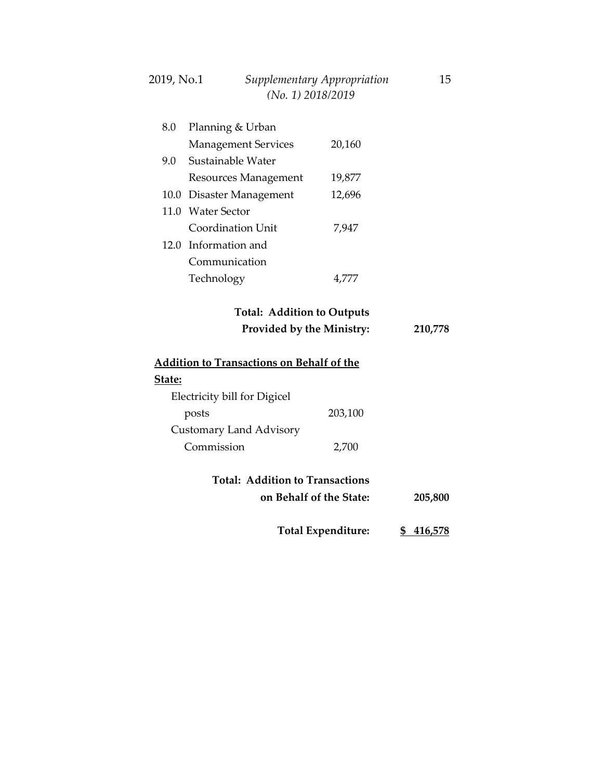### 2019, No.1 *Supplementary Appropriation* 15  *(No. 1) 2018/2019*

| 8.0 | Planning & Urban           |        |
|-----|----------------------------|--------|
|     | <b>Management Services</b> | 20,160 |
| 9.0 | Sustainable Water          |        |
|     | Resources Management       | 19,877 |
|     | 10.0 Disaster Management   | 12,696 |
|     | 11.0 Water Sector          |        |
|     | Coordination Unit          | 7,947  |
|     | 12.0 Information and       |        |
|     | Communication              |        |
|     | Technology                 |        |
|     |                            |        |

### **Total: Addition to Outputs Provided by the Ministry: 210,778**

| <b>Addition to Transactions on Behalf of the</b> |         |  |
|--------------------------------------------------|---------|--|
| State:                                           |         |  |
| Electricity bill for Digicel                     |         |  |
| posts                                            | 203,100 |  |
| Customary Land Advisory                          |         |  |
| Commission                                       | 2,700   |  |
|                                                  |         |  |
| <b>Total: Addition to Transactions</b>           |         |  |

| on Behalf of the State: | 205,800 |
|-------------------------|---------|
|                         |         |

**Total Expenditure: \$ 416,578**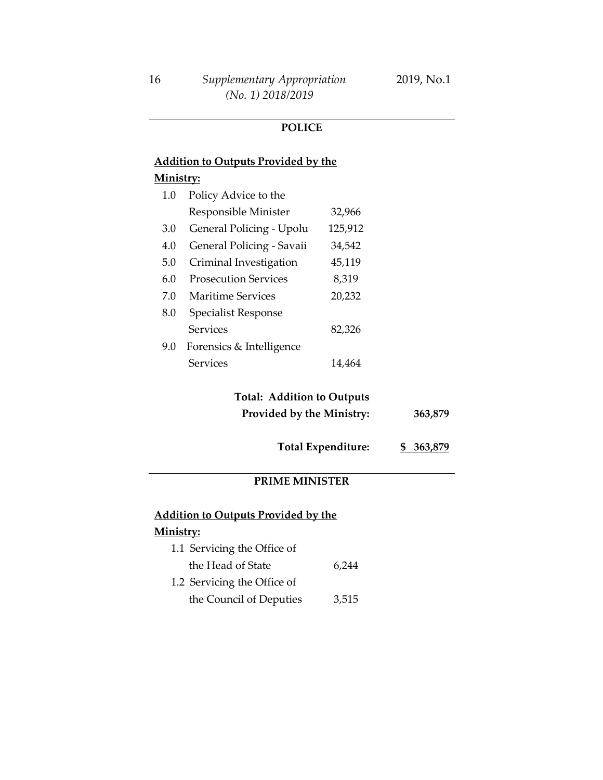#### **POLICE**

### **Addition to Outputs Provided by the Ministry:**

| 1.0 | Policy Advice to the        |         |
|-----|-----------------------------|---------|
|     | Responsible Minister        | 32,966  |
| 3.0 | General Policing - Upolu    | 125,912 |
| 4.0 | General Policing - Savaii   | 34,542  |
| 5.0 | Criminal Investigation      | 45,119  |
| 60  | <b>Prosecution Services</b> | 8,319   |
| 7.0 | Maritime Services           | 20,232  |
| 8.0 | <b>Specialist Response</b>  |         |
|     | Services                    | 82,326  |
| 9.0 | Forensics & Intelligence    |         |
|     | Services                    | 14.464  |

## **Total: Addition to Outputs Provided by the Ministry: 363,879**

**Total Expenditure: \$ 363,879**

#### **PRIME MINISTER**

### **Addition to Outputs Provided by the Ministry:**

#### 1.1 Servicing the Office of the Head of State 1.2 Servicing the Office of the Council of Deputies 6,244 3,515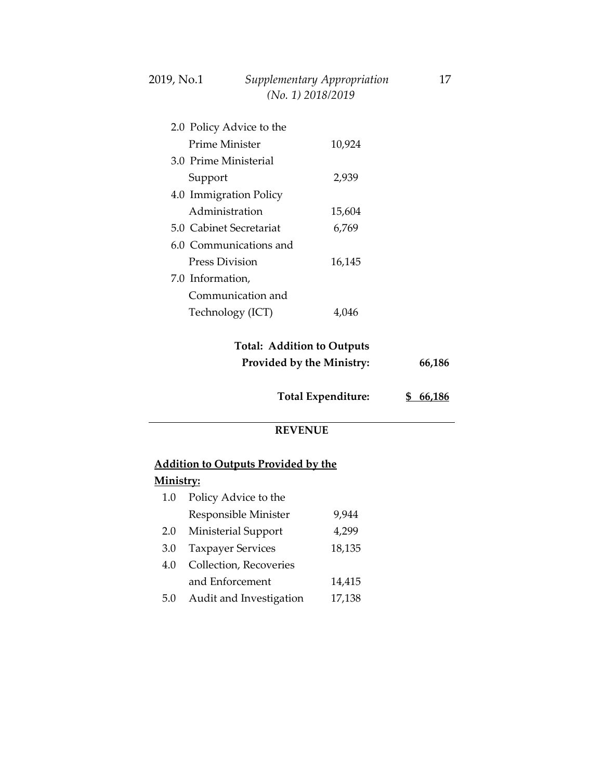| 2.0 Policy Advice to the |        |
|--------------------------|--------|
| Prime Minister           | 10,924 |
| 30 Prime Ministerial     |        |
| Support                  | 2,939  |
| 4.0 Immigration Policy   |        |
| Administration           | 15,604 |
| 5.0 Cabinet Secretariat  | 6,769  |
| 6.0 Communications and   |        |
| Press Division           | 16,145 |
| 7.0 Information,         |        |
| Communication and        |        |
| Technology (ICT)         |        |

### **Total: Addition to Outputs Provided by the Ministry: 66,186**

 *(No. 1) 2018/2019*

| <b>Total Expenditure:</b> | \$66,186 |
|---------------------------|----------|
|                           |          |

#### **REVENUE**

### **Addition to Outputs Provided by the**

## **Ministry:**

| 1.0 | Policy Advice to the     |        |
|-----|--------------------------|--------|
|     | Responsible Minister     | 9,944  |
| 2.0 | Ministerial Support      | 4,299  |
| 3.0 | <b>Taxpayer Services</b> | 18,135 |
| 4.0 | Collection, Recoveries   |        |
|     | and Enforcement          | 14,415 |
| 5.0 | Audit and Investigation  | 17,138 |
|     |                          |        |

2019, No.1 *Supplementary Appropriation* 17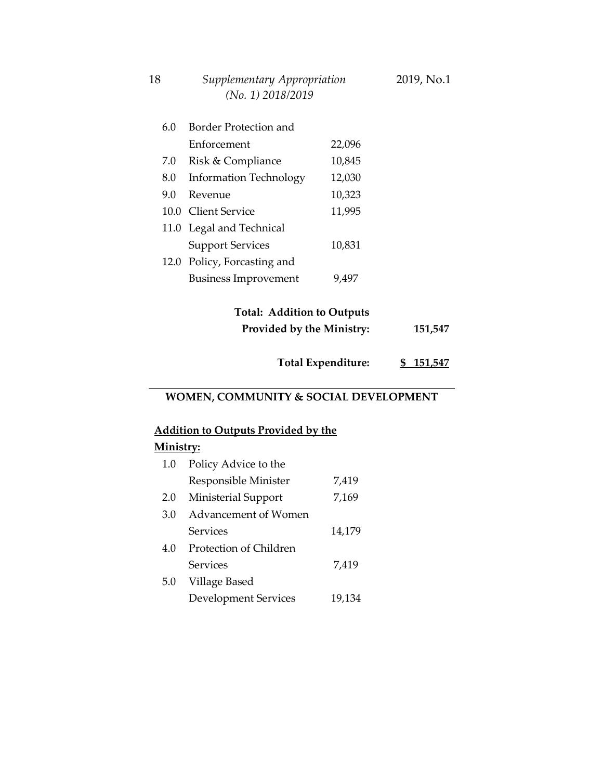| (No. 1) 2018/2019 |                               |        |
|-------------------|-------------------------------|--------|
| 6.0               | <b>Border Protection and</b>  |        |
|                   | Enforcement                   | 22,096 |
| 7.0               | Risk & Compliance             | 10,845 |
| 8.0               | <b>Information Technology</b> | 12,030 |
| 9.0               | Revenue                       | 10,323 |
|                   | 10.0 Client Service           | 11,995 |
|                   | 11.0 Legal and Technical      |        |
|                   | <b>Support Services</b>       | 10,831 |
|                   | 12.0 Policy, Forcasting and   |        |
|                   | <b>Business Improvement</b>   | 9,497  |
|                   |                               |        |

### **Total: Addition to Outputs Provided by the Ministry: 151,547**

**Total Expenditure: \$ 151,547**

#### **WOMEN, COMMUNITY & SOCIAL DEVELOPMENT**

### **Addition to Outputs Provided by the**

### **Ministry:**

| 1.0 | Policy Advice to the   |        |
|-----|------------------------|--------|
|     | Responsible Minister   | 7,419  |
| 2.0 | Ministerial Support    | 7,169  |
| 3.0 | Advancement of Women   |        |
|     | Services               | 14,179 |
| 4.0 | Protection of Children |        |
|     | Services               | 7,419  |
| 5.0 | Village Based          |        |
|     | Development Services   | 19,134 |

### 18 *Supplementary Appropriation* 2019, No.1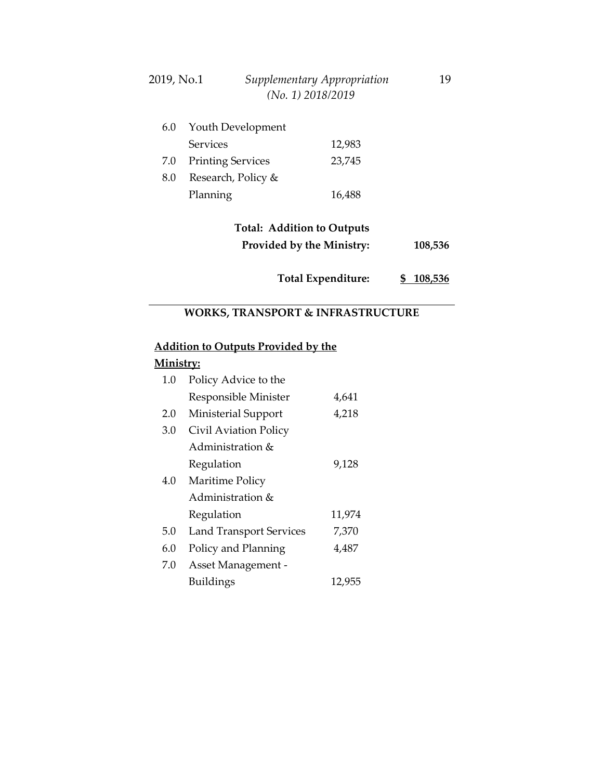| 2019, No.1 | Supplementary Appropriation | 19 |
|------------|-----------------------------|----|
|            | $(No. 1)$ 2018/2019         |    |

| 6.0     | Youth Development        |        |  |
|---------|--------------------------|--------|--|
|         | <b>Services</b>          | 12,983 |  |
| 7.0     | <b>Printing Services</b> | 23,745 |  |
| $8.0\,$ | Research, Policy &       |        |  |
|         | Planning                 | 16,488 |  |

## **Total: Addition to Outputs Provided by the Ministry: 108,536**

**Total Expenditure: \$ 108,536**

## **WORKS, TRANSPORT & INFRASTRUCTURE**

## **Addition to Outputs Provided by the**

| 1.0 | Policy Advice to the           |        |
|-----|--------------------------------|--------|
|     | Responsible Minister           | 4,641  |
| 2.0 | Ministerial Support            | 4,218  |
| 3.0 | Civil Aviation Policy          |        |
|     | Administration &               |        |
|     | Regulation                     | 9,128  |
| 4.0 | Maritime Policy                |        |
|     | Administration &               |        |
|     | Regulation                     | 11,974 |
| 5.0 | <b>Land Transport Services</b> | 7,370  |
| 6.0 | Policy and Planning            | 4,487  |
| 7.0 | Asset Management -             |        |
|     | <b>Buildings</b>               | 12,955 |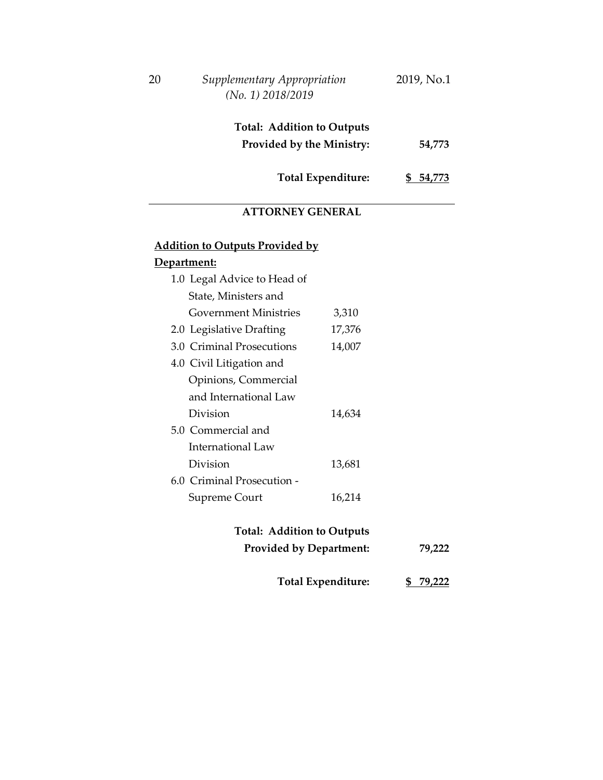| 20 | Supplementary Appropriation<br>$(No. 1)$ 2018/2019    | 2019, No.1    |
|----|-------------------------------------------------------|---------------|
|    | <b>Total: Addition to Outputs</b>                     |               |
|    | <b>Provided by the Ministry:</b>                      | 54,773        |
|    | Total Expenditure:                                    | 54,773<br>SS. |
|    | <b>ATTORNEY GENERAL</b>                               |               |
|    | <b>Addition to Outputs Provided by</b><br>'epartment: |               |

| 1.0 Legal Advice to Head of  |        |
|------------------------------|--------|
| State, Ministers and         |        |
| <b>Government Ministries</b> | 3,310  |
| 2.0 Legislative Drafting     | 17,376 |
| 3.0 Criminal Prosecutions    | 14,007 |
| 4.0 Civil Litigation and     |        |
| Opinions, Commercial         |        |
| and International Law        |        |
| Division                     | 14,634 |
| 5.0 Commercial and           |        |
| <b>International Law</b>     |        |
| Division                     | 13,681 |
| 6.0 Criminal Prosecution -   |        |
| Supreme Court                | 16,214 |
|                              |        |

## **Total: Addition to Outputs Provided by Department: 79,222**

| <b>Total Expenditure:</b> |  | \$79,222 |
|---------------------------|--|----------|
|---------------------------|--|----------|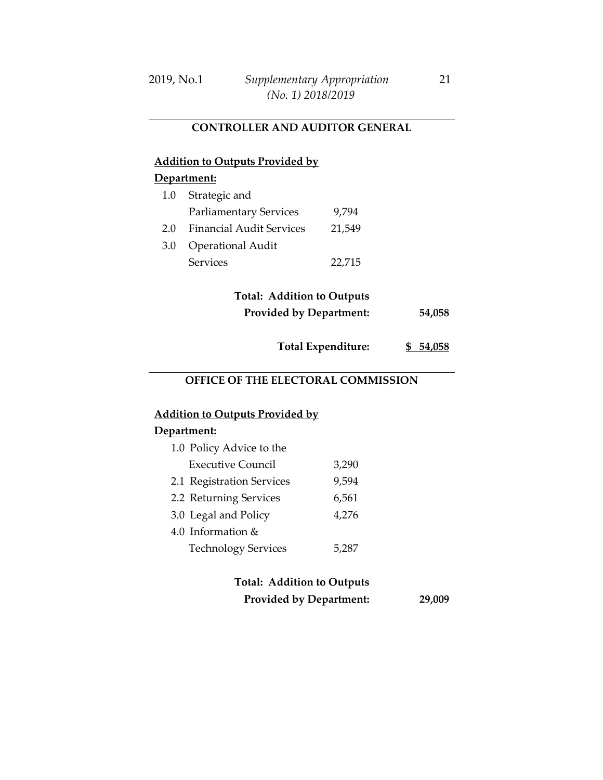#### **CONTROLLER AND AUDITOR GENERAL**

## **Addition to Outputs Provided by**

#### **Department:**

| 1.0 | Strategic and                   |        |
|-----|---------------------------------|--------|
|     | <b>Parliamentary Services</b>   | 9,794  |
| 2.0 | <b>Financial Audit Services</b> | 21,549 |
| 3.0 | <b>Operational Audit</b>        |        |
|     | <b>Services</b>                 | 22,715 |

## **Total: Addition to Outputs Provided by Department: 54,058**

**Total Expenditure: \$ 54,058**

### **OFFICE OF THE ELECTORAL COMMISSION**

#### **Addition to Outputs Provided by**

#### **Department:**

| 1.0 Policy Advice to the   |       |
|----------------------------|-------|
| <b>Executive Council</b>   | 3,290 |
| 2.1 Registration Services  | 9,594 |
| 2.2 Returning Services     | 6,561 |
| 3.0 Legal and Policy       | 4,276 |
| 4.0 Information &          |       |
| <b>Technology Services</b> | 5.287 |

### **Total: Addition to Outputs Provided by Department: 29,009**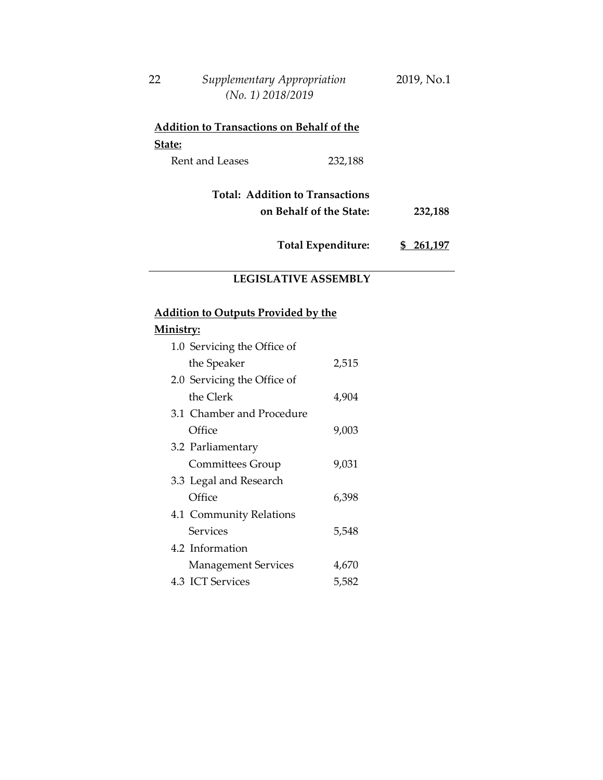| 22 | Supplementary Appropriation | 2019, No.1 |
|----|-----------------------------|------------|
|    | $(No. 1)$ 2018/2019         |            |

| <b>Addition to Transactions on Behalf of the</b> |         |  |  |
|--------------------------------------------------|---------|--|--|
| State:                                           |         |  |  |
| <b>Rent and Leases</b>                           | 232,188 |  |  |

**Total: Addition to Transactions on Behalf of the State: 232,188**

**Total Expenditure: \$ 261,197**

### **LEGISLATIVE ASSEMBLY**

### **Addition to Outputs Provided by the**

| 1.0 Servicing the Office of |       |
|-----------------------------|-------|
| the Speaker                 | 2,515 |
| 2.0 Servicing the Office of |       |
| the Clerk                   | 4,904 |
| 3.1 Chamber and Procedure   |       |
| Office                      | 9,003 |
| 3.2 Parliamentary           |       |
| Committees Group            | 9,031 |
| 3.3 Legal and Research      |       |
| Office                      | 6,398 |
| 4.1 Community Relations     |       |
| Services                    | 5,548 |
| 4.2 Information             |       |
| <b>Management Services</b>  | 4,670 |
| 4.3 ICT Services            | 5,582 |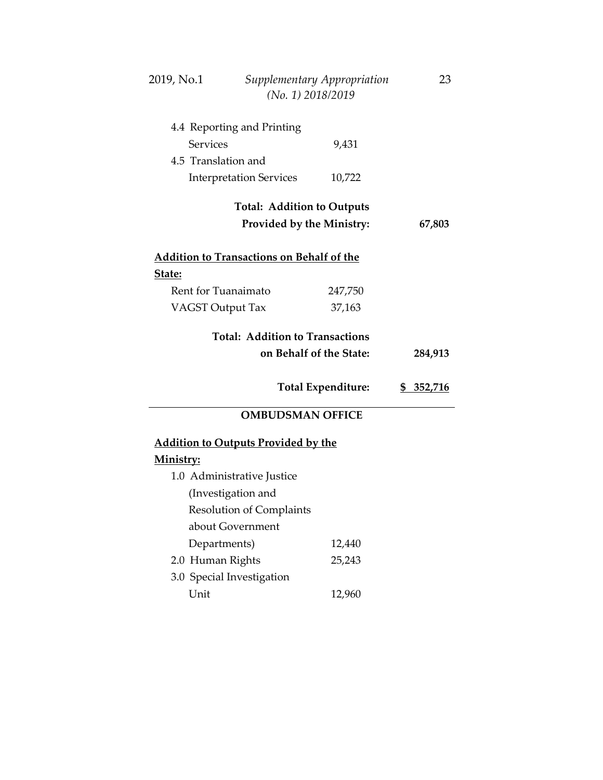| 2019, No.1<br>Supplementary Appropriation<br>(No. 1) 2018/2019 |                                                  |                           | 23               |
|----------------------------------------------------------------|--------------------------------------------------|---------------------------|------------------|
|                                                                | 4.4 Reporting and Printing                       |                           |                  |
| <b>Services</b>                                                |                                                  | 9,431                     |                  |
| 4.5 Translation and                                            |                                                  |                           |                  |
|                                                                | <b>Interpretation Services</b>                   | 10,722                    |                  |
|                                                                |                                                  |                           |                  |
|                                                                | <b>Total: Addition to Outputs</b>                |                           |                  |
|                                                                | Provided by the Ministry:                        |                           | 67,803           |
|                                                                | <b>Addition to Transactions on Behalf of the</b> |                           |                  |
| State:                                                         |                                                  |                           |                  |
| Rent for Tuanaimato                                            |                                                  | 247,750                   |                  |
| <b>VAGST Output Tax</b>                                        |                                                  | 37,163                    |                  |
|                                                                |                                                  |                           |                  |
|                                                                | <b>Total: Addition to Transactions</b>           |                           |                  |
|                                                                |                                                  | on Behalf of the State:   | 284,913          |
|                                                                |                                                  |                           |                  |
|                                                                |                                                  | <b>Total Expenditure:</b> | <u>\$352,716</u> |
|                                                                | <b>OMBUDSMAN OFFICE</b>                          |                           |                  |
|                                                                | <b>Addition to Outputs Provided by the</b>       |                           |                  |
| <u>Ministry:</u>                                               |                                                  |                           |                  |
|                                                                | 1.0 Administrative Justice                       |                           |                  |
|                                                                | (Investigation and                               |                           |                  |
| <b>Resolution of Complaints</b>                                |                                                  |                           |                  |
| about Government                                               |                                                  |                           |                  |
| Departments)                                                   |                                                  | 12,440                    |                  |
| 2.0 Human Rights                                               |                                                  | 25,243                    |                  |
| 3.0 Special Investigation                                      |                                                  |                           |                  |
| Unit                                                           |                                                  | 12,960                    |                  |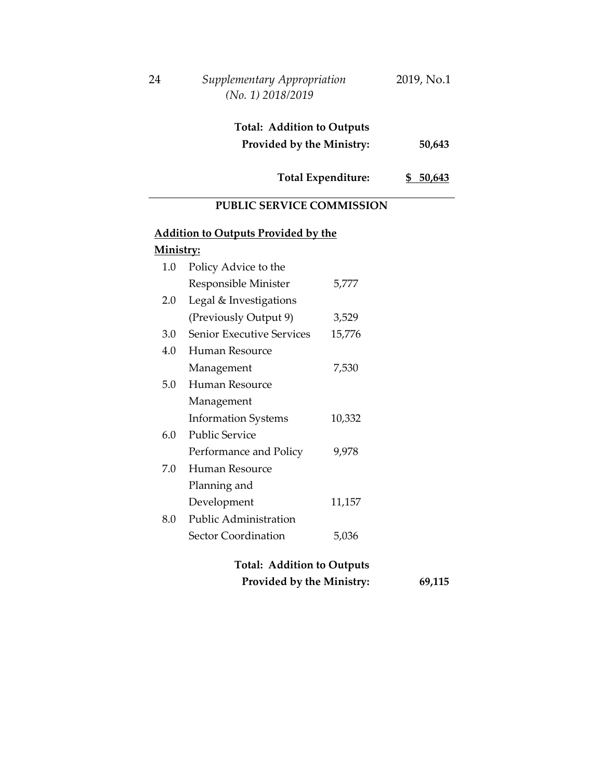| 24                                  | Supplementary Appropriation<br>(No. 1) 2018/2019 |        | 2019, No.1 |
|-------------------------------------|--------------------------------------------------|--------|------------|
|                                     | <b>Total: Addition to Outputs</b>                |        |            |
|                                     | <b>Provided by the Ministry:</b>                 |        | 50,643     |
| Total Expenditure:<br>50,643<br>SS. |                                                  |        |            |
|                                     | <b>PUBLIC SERVICE COMMISSION</b>                 |        |            |
|                                     | <b>Addition to Outputs Provided by the</b>       |        |            |
| Ministry:                           |                                                  |        |            |
| $1.0\,$                             | Policy Advice to the                             |        |            |
|                                     | Responsible Minister                             | 5,777  |            |
| 2.0                                 | Legal & Investigations                           |        |            |
|                                     | (Previously Output 9)                            | 3,529  |            |
| 3.0                                 | <b>Senior Executive Services</b>                 | 15,776 |            |
| 4.0                                 | Human Resource                                   |        |            |

|     | Management                 | 7,530  |
|-----|----------------------------|--------|
| 5.0 | Human Resource             |        |
|     | Management                 |        |
|     | <b>Information Systems</b> | 10,332 |
| 6.0 | Public Service             |        |
|     | Performance and Policy     | 9,978  |
| 7.0 | Human Resource             |        |
|     | Planning and               |        |
|     | Development                | 11,157 |
| 8.0 | Public Administration      |        |
|     | Sector Coordination        | 5,036  |
|     |                            |        |

## **Total: Addition to Outputs Provided by the Ministry: 69,115**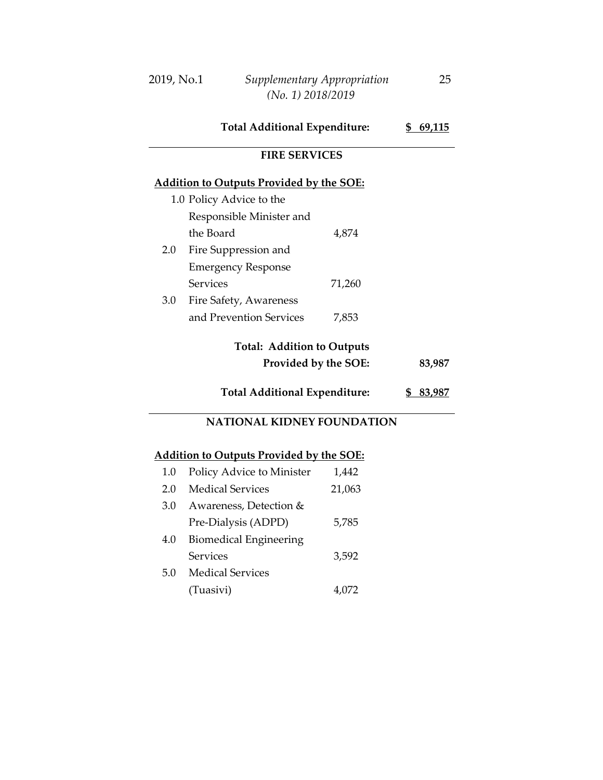| 2019, No.1 | Supplementary Appropriation | 25. |
|------------|-----------------------------|-----|
|            | $(No. 1)$ 2018/2019         |     |

**Total Additional Expenditure: \$ 69,115**

#### **FIRE SERVICES**

#### **Addition to Outputs Provided by the SOE:**

|     | 1.0 Policy Advice to the  |        |
|-----|---------------------------|--------|
|     | Responsible Minister and  |        |
|     | the Board                 | 4,874  |
| 2.0 | Fire Suppression and      |        |
|     | <b>Emergency Response</b> |        |
|     | Services                  | 71,260 |
| 3.0 | Fire Safety, Awareness    |        |
|     | and Prevention Services   |        |

### **Total: Addition to Outputs**

**Provided by the SOE: 83,987**

**Total Additional Expenditure: \$ 83,987**

### **NATIONAL KIDNEY FOUNDATION**

| $1.0\,$ | Policy Advice to Minister     | 1,442  |
|---------|-------------------------------|--------|
| 2.0     | <b>Medical Services</b>       | 21,063 |
| 3.0     | Awareness, Detection &        |        |
|         | Pre-Dialysis (ADPD)           | 5,785  |
| 4.0     | <b>Biomedical Engineering</b> |        |
|         | Services                      | 3,592  |
| 5.0     | <b>Medical Services</b>       |        |
|         | (Tuasivi)                     | 4.072  |
|         |                               |        |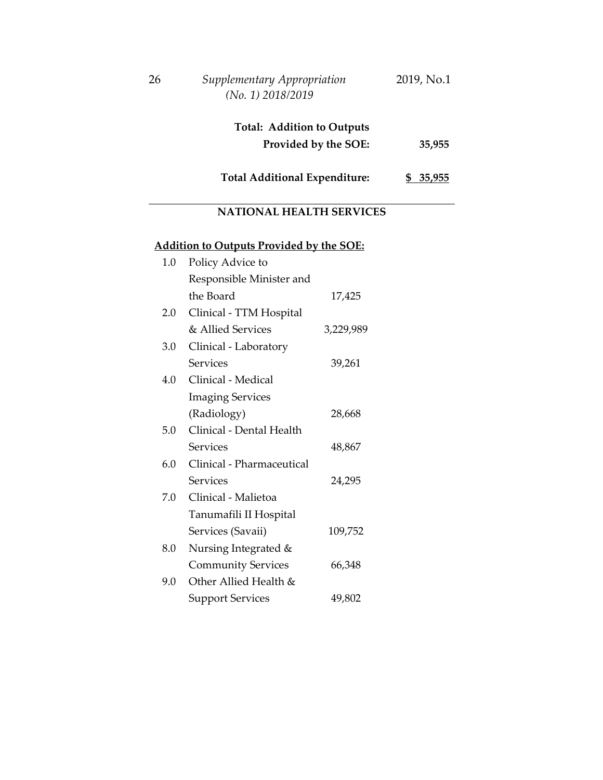| 26 | Supplementary Appropriation<br>$(No. 1)$ 2018/2019        | 2019, No.1 |
|----|-----------------------------------------------------------|------------|
|    | <b>Total: Addition to Outputs</b><br>Provided by the SOE: | 35,955     |
|    | <b>Total Additional Expenditure:</b>                      | \$35,955   |

## **NATIONAL HEALTH SERVICES**

| 1.0 | Policy Advice to          |           |
|-----|---------------------------|-----------|
|     | Responsible Minister and  |           |
|     | the Board                 | 17,425    |
| 2.0 | Clinical - TTM Hospital   |           |
|     | & Allied Services         | 3,229,989 |
| 3.0 | Clinical - Laboratory     |           |
|     | Services                  | 39,261    |
| 4.0 | Clinical - Medical        |           |
|     | <b>Imaging Services</b>   |           |
|     | (Radiology)               | 28,668    |
| 5.0 | Clinical - Dental Health  |           |
|     | Services                  | 48,867    |
| 6.0 | Clinical - Pharmaceutical |           |
|     | Services                  | 24,295    |
| 7.0 | Clinical - Malietoa       |           |
|     | Tanumafili II Hospital    |           |
|     | Services (Savaii)         | 109,752   |
| 8.0 | Nursing Integrated &      |           |
|     | <b>Community Services</b> | 66,348    |
| 9.0 | Other Allied Health &     |           |
|     | <b>Support Services</b>   | 49,802    |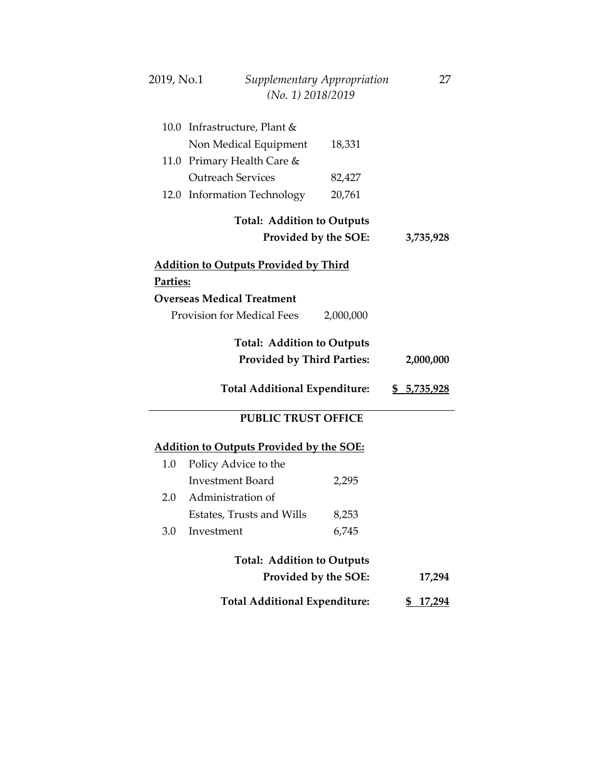| 2019, No.1 | Supplementary Appropriation                     |           | 27                  |
|------------|-------------------------------------------------|-----------|---------------------|
|            | (No. 1) 2018/2019                               |           |                     |
|            |                                                 |           |                     |
|            | 10.0 Infrastructure, Plant &                    |           |                     |
|            | Non Medical Equipment                           | 18,331    |                     |
|            | 11.0 Primary Health Care &                      |           |                     |
|            | <b>Outreach Services</b>                        | 82,427    |                     |
|            | 12.0 Information Technology                     | 20,761    |                     |
|            | <b>Total: Addition to Outputs</b>               |           |                     |
|            | Provided by the SOE:                            |           | 3,735,928           |
|            | <b>Addition to Outputs Provided by Third</b>    |           |                     |
| Parties:   |                                                 |           |                     |
|            | <b>Overseas Medical Treatment</b>               |           |                     |
|            | <b>Provision for Medical Fees</b>               | 2,000,000 |                     |
|            |                                                 |           |                     |
|            | <b>Total: Addition to Outputs</b>               |           |                     |
|            | <b>Provided by Third Parties:</b>               |           | 2,000,000           |
|            | <b>Total Additional Expenditure:</b>            |           | \$ 5,735,928        |
|            |                                                 |           |                     |
|            | <b>PUBLIC TRUST OFFICE</b>                      |           |                     |
|            | <b>Addition to Outputs Provided by the SOE:</b> |           |                     |
| 1.0        | Policy Advice to the                            |           |                     |
|            | <b>Investment Board</b>                         | 2,295     |                     |
| 2.0        | Administration of                               |           |                     |
|            | Estates, Trusts and Wills                       | 8,253     |                     |
| 3.0        | Investment                                      | 6,745     |                     |
|            | <b>Total: Addition to Outputs</b>               |           |                     |
|            | Provided by the SOE:                            |           | 17,294              |
|            | <b>Total Additional Expenditure:</b>            |           | <u>17,294</u><br>\$ |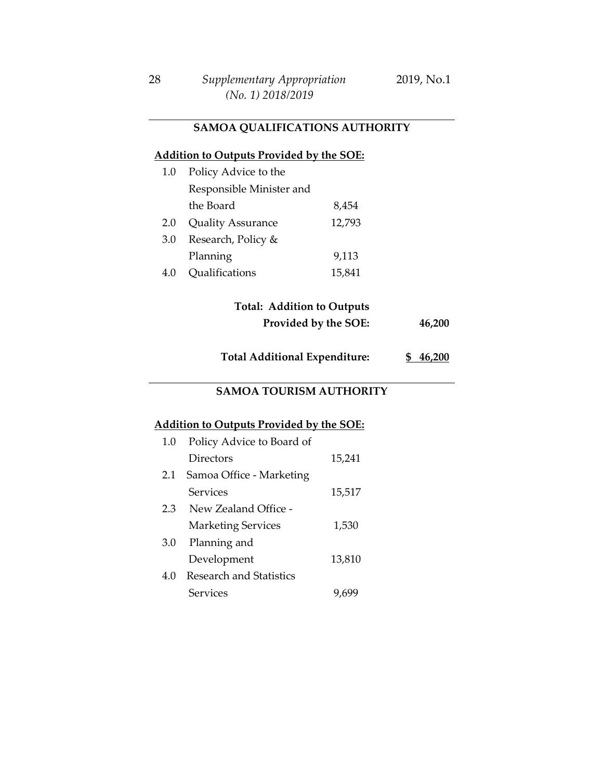### **SAMOA QUALIFICATIONS AUTHORITY**

#### **Addition to Outputs Provided by the SOE:**

| 1.0 | Policy Advice to the     |        |
|-----|--------------------------|--------|
|     | Responsible Minister and |        |
|     | the Board                | 8,454  |
| 2.0 | <b>Quality Assurance</b> | 12,793 |
| 3.0 | Research, Policy &       |        |
|     | Planning                 | 9,113  |
| 4.0 | Qualifications           | 15,841 |

### **Total: Addition to Outputs Provided by the SOE: 46,200**

**Total Additional Expenditure: \$ 46,200**

#### **SAMOA TOURISM AUTHORITY**

| 1.0 | Policy Advice to Board of |        |
|-----|---------------------------|--------|
|     | Directors                 | 15,241 |
| 2.1 | Samoa Office - Marketing  |        |
|     | Services                  | 15,517 |
| 2.3 | New Zealand Office -      |        |
|     | <b>Marketing Services</b> | 1,530  |
| 3.0 | Planning and              |        |
|     | Development               | 13,810 |
| 4.0 | Research and Statistics   |        |
|     | Services                  | 9.6    |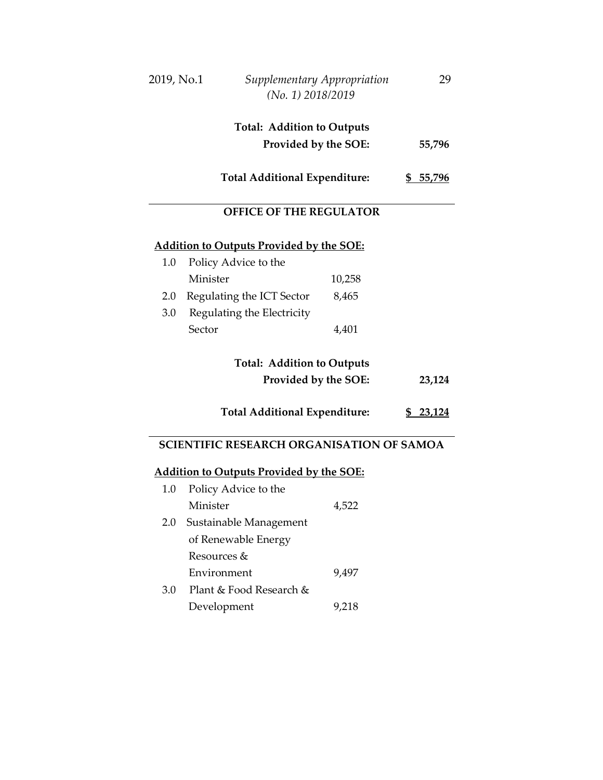| 2019, No.1 | Supplementary Appropriation<br>$(No. 1)$ 2018/2019 | 29     |
|------------|----------------------------------------------------|--------|
|            | <b>Total: Addition to Outputs</b>                  |        |
|            | Provided by the SOE:                               | 55,796 |
|            | <b>Total Additional Expenditure:</b>               | 55,796 |
|            | <b>OFFICE OF THE REGULATOR</b>                     |        |

### **Addition to Outputs Provided by the SOE:**

| 1.0 | Policy Advice to the       |        |
|-----|----------------------------|--------|
|     | Minister                   | 10,258 |
| 2.0 | Regulating the ICT Sector  | 8,465  |
| 3.0 | Regulating the Electricity |        |
|     | Sector                     | 4,401  |

## **Total: Addition to Outputs Provided by the SOE: 23,124**

#### **Total Additional Expenditure: \$ 23,124**

### **SCIENTIFIC RESEARCH ORGANISATION OF SAMOA**

| $1.0\,$ | Policy Advice to the    |       |
|---------|-------------------------|-------|
|         | Minister                | 4,522 |
| 2.0     | Sustainable Management  |       |
|         | of Renewable Energy     |       |
|         | Resources &             |       |
|         | Environment             | 9,497 |
| 3.0     | Plant & Food Research & |       |
|         | Development             | 9,218 |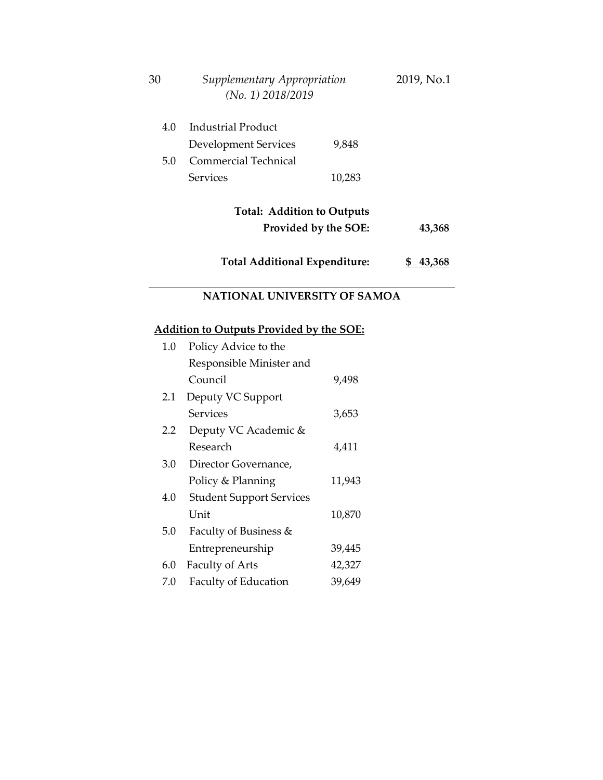| 30                          | Supplementary Appropriation<br>(No. 1) 2018/2019 |        | 2019, No.1 |  |  |  |
|-----------------------------|--------------------------------------------------|--------|------------|--|--|--|
| 4.0                         | <b>Industrial Product</b>                        |        |            |  |  |  |
|                             | <b>Development Services</b>                      | 9,848  |            |  |  |  |
| 5.0                         | <b>Commercial Technical</b>                      |        |            |  |  |  |
|                             | <b>Services</b>                                  | 10,283 |            |  |  |  |
|                             | <b>Total: Addition to Outputs</b>                |        |            |  |  |  |
|                             | Provided by the SOE:                             |        | 43,368     |  |  |  |
|                             | <b>Total Additional Expenditure:</b><br>\$43,368 |        |            |  |  |  |
|                             | <b>NATIONAL UNIVERSITY OF SAMOA</b>              |        |            |  |  |  |
|                             | <b>Addition to Outputs Provided by the SOE:</b>  |        |            |  |  |  |
| Policy Advice to the<br>1.0 |                                                  |        |            |  |  |  |
|                             | Responsible Minister and                         |        |            |  |  |  |
|                             | Council                                          | 9,498  |            |  |  |  |
| 2.1                         | Deputy VC Support                                |        |            |  |  |  |
|                             | <b>Services</b>                                  | 3,653  |            |  |  |  |
| $2.2\phantom{0}$            | Deputy VC Academic &                             |        |            |  |  |  |
|                             | Research                                         | 4,411  |            |  |  |  |
| 3.0                         | Director Governance,                             |        |            |  |  |  |
|                             | Policy & Planning                                | 11,943 |            |  |  |  |
| 4.0                         | <b>Student Support Services</b>                  |        |            |  |  |  |
|                             | Unit                                             | 10,870 |            |  |  |  |
| 5.0                         | Faculty of Business &                            |        |            |  |  |  |

39,445 42,327 39,649

Entrepreneurship

7.0 Faculty of Education

6.0 Faculty of Arts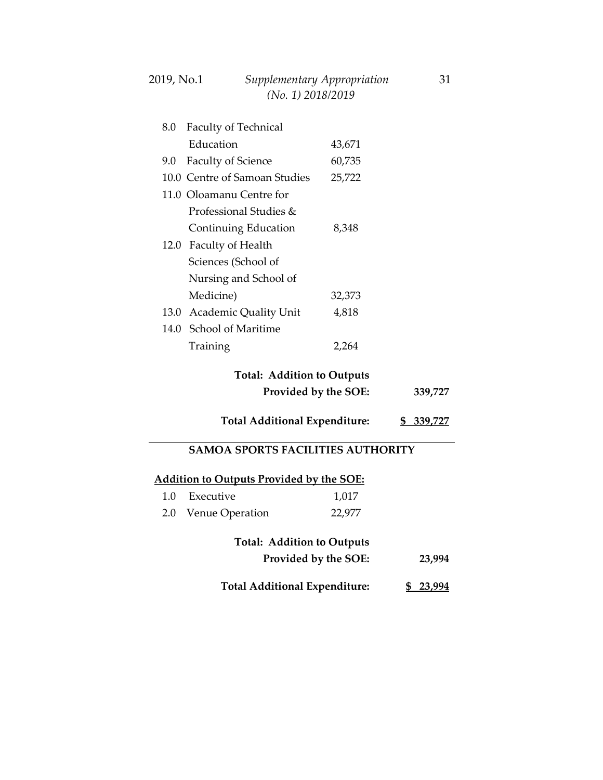| 2019, No.1 | Supplementary Appropriation | 31 |
|------------|-----------------------------|----|
|            | $(No. 1)$ 2018/2019         |    |

| 8.0 | Faculty of Technical          |        |  |
|-----|-------------------------------|--------|--|
|     | Education                     | 43,671 |  |
|     | 9.0 Faculty of Science        | 60,735 |  |
|     | 10.0 Centre of Samoan Studies | 25,722 |  |
|     | 11.0 Oloamanu Centre for      |        |  |
|     | Professional Studies &        |        |  |
|     | Continuing Education          | 8,348  |  |
|     | 12.0 Faculty of Health        |        |  |
|     | Sciences (School of           |        |  |
|     | Nursing and School of         |        |  |
|     | Medicine)                     | 32,373 |  |
|     | 13.0 Academic Quality Unit    | 4,818  |  |
|     | 14.0 School of Maritime       |        |  |
|     | Training                      | 2.264  |  |

### **Total: Addition to Outputs Provided by the SOE: 339,727**

#### **Total Additional Expenditure: \$ 339,727**

#### **SAMOA SPORTS FACILITIES AUTHORITY**

## **Addition to Outputs Provided by the SOE:**

| <b>Total: Addition to Outputs</b> |                     |        |
|-----------------------------------|---------------------|--------|
|                                   | 2.0 Venue Operation | 22,977 |
|                                   | 1.0 Executive       | 1,017  |

| Provided by the SOE: | 23,994 |
|----------------------|--------|
|                      |        |

**Total Additional Expenditure: \$ 23,994**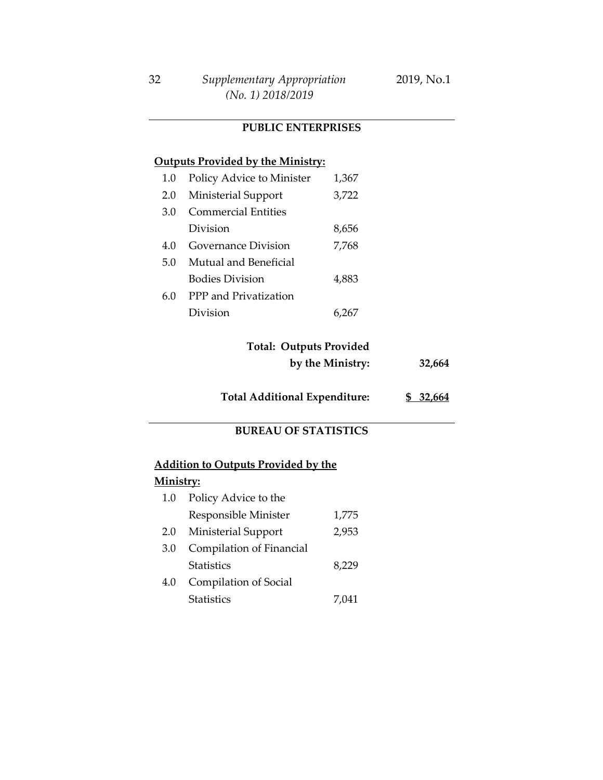#### **PUBLIC ENTERPRISES**

#### **Outputs Provided by the Ministry:**

| 1.0 | Policy Advice to Minister  | 1,367 |
|-----|----------------------------|-------|
| 2.0 | Ministerial Support        | 3,722 |
| 3.0 | <b>Commercial Entities</b> |       |
|     | Division                   | 8,656 |
| 4 Q | Governance Division        | 7,768 |
| 5.0 | Mutual and Beneficial      |       |
|     | <b>Bodies Division</b>     | 4,883 |
| 6.0 | PPP and Privatization      |       |
|     | Division                   |       |

## **Total: Outputs Provided**

**by the Ministry: 32,664**

**Total Additional Expenditure: \$ 32,664**

### **BUREAU OF STATISTICS**

#### **Addition to Outputs Provided by the**

| $1.0\,$ | Policy Advice to the     |       |
|---------|--------------------------|-------|
|         | Responsible Minister     | 1,775 |
| 2.0     | Ministerial Support      | 2,953 |
| 3.0     | Compilation of Financial |       |
|         | <b>Statistics</b>        | 8,229 |
| 4.0     | Compilation of Social    |       |
|         | <b>Statistics</b>        | 7.041 |
|         |                          |       |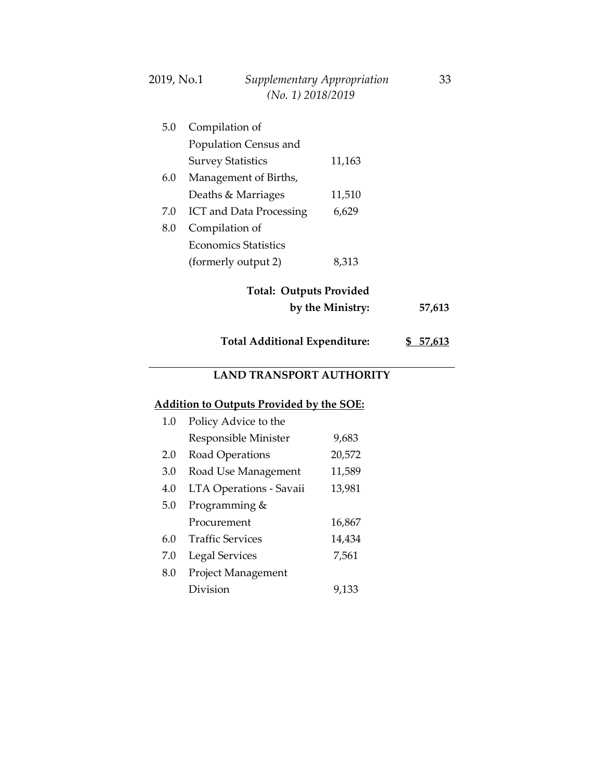| 2019, No.1 | Supplementary Appropriation | 33 |
|------------|-----------------------------|----|
|            | $(No. 1)$ 2018/2019         |    |

| 5.0 | Compilation of                       |                  |        |
|-----|--------------------------------------|------------------|--------|
|     | Population Census and                |                  |        |
|     | <b>Survey Statistics</b>             | 11,163           |        |
| 6.0 | Management of Births,                |                  |        |
|     | Deaths & Marriages                   | 11,510           |        |
| 7.0 | <b>ICT</b> and Data Processing       | 6,629            |        |
| 8.0 | Compilation of                       |                  |        |
|     | Economics Statistics                 |                  |        |
|     | (formerly output 2)                  | 8,313            |        |
|     | <b>Total: Outputs Provided</b>       | by the Ministry: | 57,613 |
|     |                                      |                  |        |
|     | <b>Total Additional Expenditure:</b> |                  | 57.613 |

### **LAND TRANSPORT AUTHORITY**

| 1.0 | Policy Advice to the      |        |
|-----|---------------------------|--------|
|     | Responsible Minister      | 9,683  |
| 2.0 | Road Operations           | 20,572 |
| 3.0 | Road Use Management       | 11,589 |
| 4.0 | LTA Operations - Savaii   | 13,981 |
| 5.0 | Programming &             |        |
|     | Procurement               | 16,867 |
| 6.0 | <b>Traffic Services</b>   | 14,434 |
| 7.0 | <b>Legal Services</b>     | 7,561  |
| 8.0 | <b>Project Management</b> |        |
|     | Division                  | 9,133  |
|     |                           |        |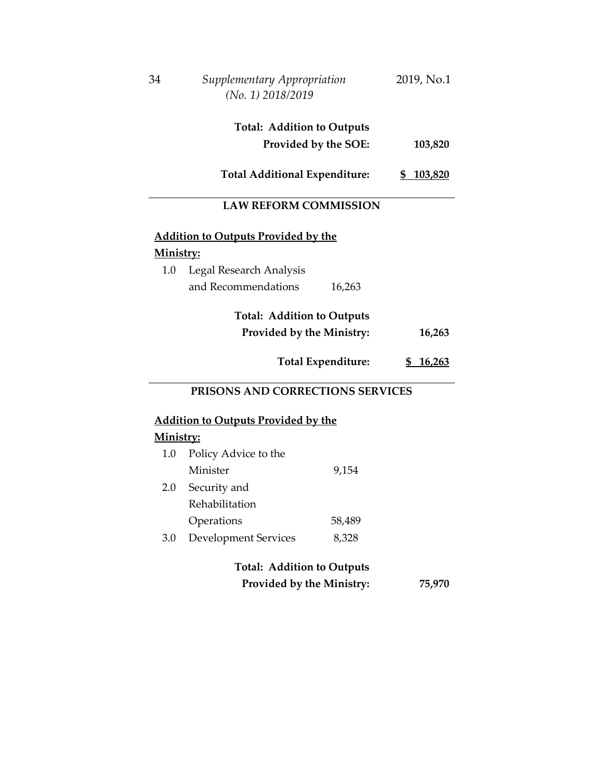| 34        | Supplementary Appropriation<br>(No. 1) 2018/2019  |                           | 2019, No.1 |
|-----------|---------------------------------------------------|---------------------------|------------|
|           | <b>Total: Addition to Outputs</b>                 |                           |            |
|           |                                                   | Provided by the SOE:      | 103,820    |
|           | <b>Total Additional Expenditure:</b>              |                           | \$103,820  |
|           | <b>LAW REFORM COMMISSION</b>                      |                           |            |
|           | <u><b>Addition to Outputs Provided by the</b></u> |                           |            |
| Ministry: |                                                   |                           |            |
| 1.0       | Legal Research Analysis                           |                           |            |
|           | and Recommendations                               | 16,263                    |            |
|           | <b>Total: Addition to Outputs</b>                 |                           |            |
|           | Provided by the Ministry:                         |                           | 16,263     |
|           |                                                   | <b>Total Expenditure:</b> | \$16,263   |
|           | PRISONS AND CORRECTIONS SERVICES                  |                           |            |
|           | <u><b>Addition to Outputs Provided by the</b></u> |                           |            |
| Ministry: |                                                   |                           |            |
| 1.0       | Policy Advice to the                              |                           |            |
|           | Minister                                          | 9,154                     |            |
| 2.0       | Security and                                      |                           |            |
|           | Rehabilitation                                    |                           |            |
|           | Operations                                        | 58,489                    |            |
| 3.0       | <b>Development Services</b>                       | 8,328                     |            |
|           | <b>Total: Addition to Outputs</b>                 |                           |            |
|           | Provided by the Ministry:                         |                           | 75,970     |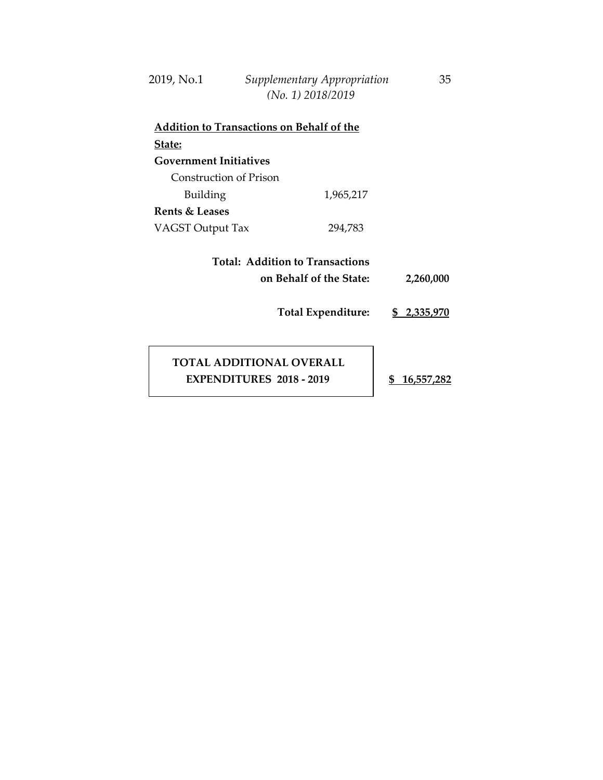| 2019, No.1 | Supplementary Appropriation | 35 |
|------------|-----------------------------|----|
|            | $(No. 1)$ 2018/2019         |    |

| <b>Addition to Transactions on Behalf of the</b>                                        |           |                           |  |  |
|-----------------------------------------------------------------------------------------|-----------|---------------------------|--|--|
| State:                                                                                  |           |                           |  |  |
| <b>Government Initiatives</b>                                                           |           |                           |  |  |
| Construction of Prison                                                                  |           |                           |  |  |
| Building                                                                                | 1,965,217 |                           |  |  |
| Rents & Leases                                                                          |           |                           |  |  |
| VAGST Output Tax                                                                        | 294,783   |                           |  |  |
| Total: Addition to Transactions<br>on Behalf of the State:<br><b>Total Expenditure:</b> |           | 2,260,000<br>\$ 2,335,970 |  |  |

 **TOTAL ADDITIONAL OVERALL EXPENDITURES 2018 - 2019 \$ 16,557,282**